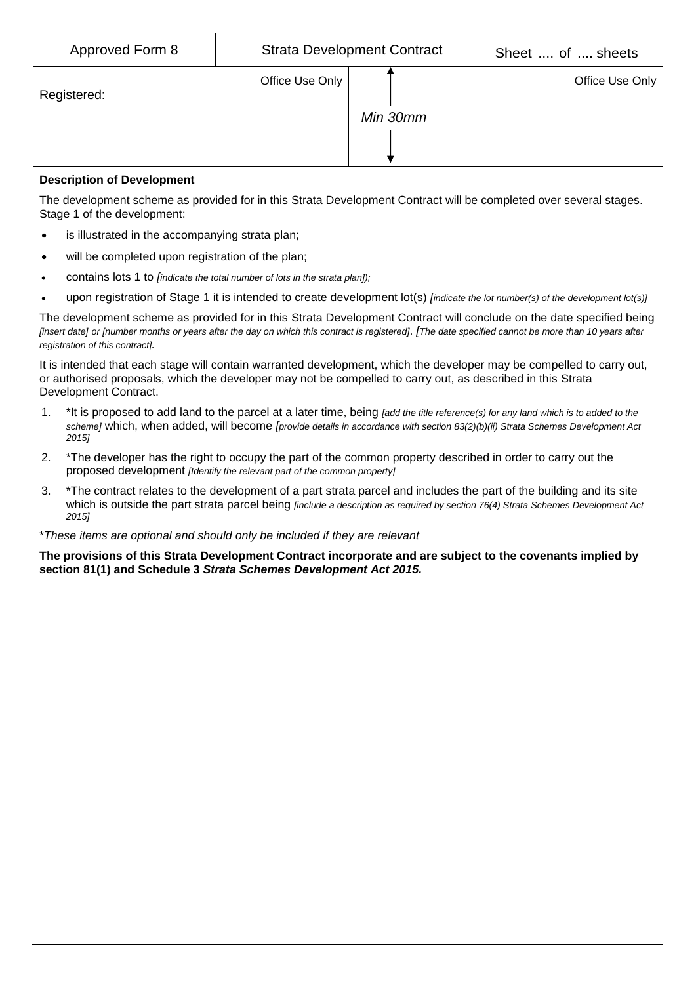| Approved Form 8 |                 | <b>Strata Development Contract</b> | Sheet  of  sheets |  |  |
|-----------------|-----------------|------------------------------------|-------------------|--|--|
| Registered:     | Office Use Only | Min 30mm                           | Office Use Only   |  |  |

# **Description of Development**

The development scheme as provided for in this Strata Development Contract will be completed over several stages. Stage 1 of the development:

- is illustrated in the accompanying strata plan;
- will be completed upon registration of the plan:
- contains lots 1 to *[indicate the total number of lots in the strata plan]);*
- upon registration of Stage 1 it is intended to create development lot(s) *[indicate the lot number(s) of the development lot(s)]*

The development scheme as provided for in this Strata Development Contract will conclude on the date specified being *[insert date] or [number months or years after the day on which this contract is registered]*. *[The date specified cannot be more than 10 years after registration of this contract].*

It is intended that each stage will contain warranted development, which the developer may be compelled to carry out, or authorised proposals, which the developer may not be compelled to carry out, as described in this Strata Development Contract.

- 1. \*It is proposed to add land to the parcel at a later time, being *[add the title reference(s) for any land which is to added to the scheme]* which, when added, will become *[provide details in accordance with section 83(2)(b)(ii) Strata Schemes Development Act 2015]*
- 2. \*The developer has the right to occupy the part of the common property described in order to carry out the proposed development *[Identify the relevant part of the common property]*
- 3. \*The contract relates to the development of a part strata parcel and includes the part of the building and its site which is outside the part strata parcel being *[include a description as required by section 76(4) Strata Schemes Development Act 2015]*

# \**These items are optional and should only be included if they are relevant*

**The provisions of this Strata Development Contract incorporate and are subject to the covenants implied by section 81(1) and Schedule 3** *Strata Schemes Development Act 2015.*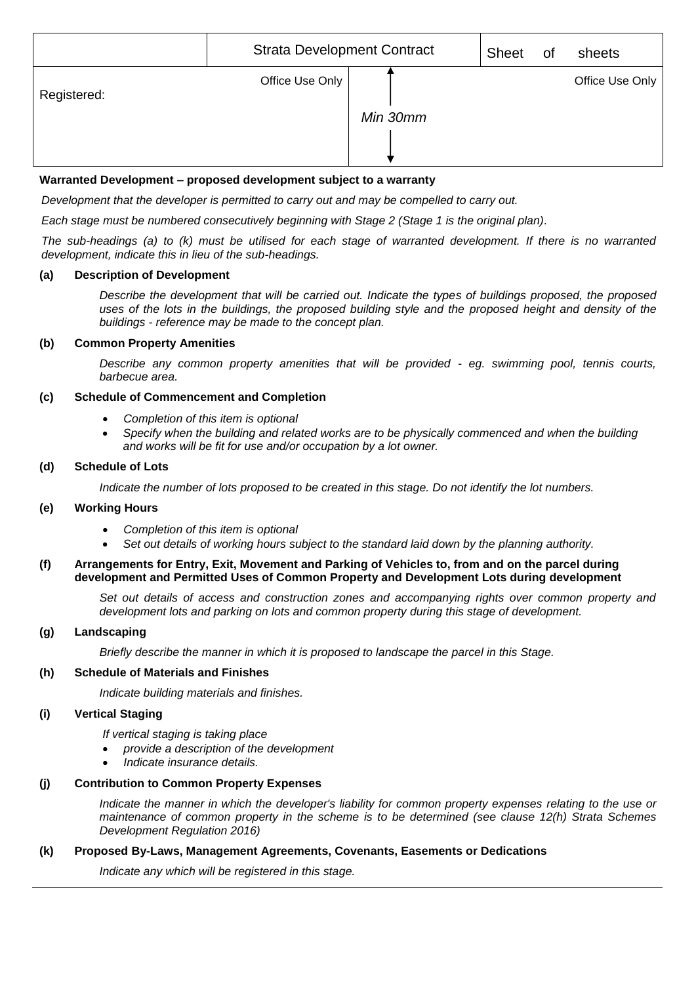|             | <b>Strata Development Contract</b> |          | <b>Sheet</b> | 0f | sheets          |
|-------------|------------------------------------|----------|--------------|----|-----------------|
| Registered: | Office Use Only                    | Min 30mm |              |    | Office Use Only |

# **Warranted Development – proposed development subject to a warranty**

*Development that the developer is permitted to carry out and may be compelled to carry out.*

*Each stage must be numbered consecutively beginning with Stage 2 (Stage 1 is the original plan).*

*The sub-headings (a) to (k) must be utilised for each stage of warranted development. If there is no warranted development, indicate this in lieu of the sub-headings.*

# **(a) Description of Development**

*Describe the development that will be carried out. Indicate the types of buildings proposed, the proposed uses of the lots in the buildings, the proposed building style and the proposed height and density of the buildings - reference may be made to the concept plan.*

# **(b) Common Property Amenities**

*Describe any common property amenities that will be provided - eg. swimming pool, tennis courts, barbecue area.*

# **(c) Schedule of Commencement and Completion**

- *Completion of this item is optional*
- *Specify when the building and related works are to be physically commenced and when the building and works will be fit for use and/or occupation by a lot owner.*

# **(d) Schedule of Lots**

*Indicate the number of lots proposed to be created in this stage. Do not identify the lot numbers.*

# **(e) Working Hours**

- *Completion of this item is optional*
- *Set out details of working hours subject to the standard laid down by the planning authority.*

#### **(f) Arrangements for Entry, Exit, Movement and Parking of Vehicles to, from and on the parcel during development and Permitted Uses of Common Property and Development Lots during development**

Set out details of access and construction zones and accompanying rights over common property and *development lots and parking on lots and common property during this stage of development.*

# **(g) Landscaping**

*Briefly describe the manner in which it is proposed to landscape the parcel in this Stage.*

# **(h) Schedule of Materials and Finishes**

*Indicate building materials and finishes.*

# **(i) Vertical Staging**

*If vertical staging is taking place* 

- *provide a description of the development*
- *Indicate insurance details.*

# **(j) Contribution to Common Property Expenses**

*Indicate the manner in which the developer's liability for common property expenses relating to the use or maintenance of common property in the scheme is to be determined (see clause 12(h) Strata Schemes Development Regulation 2016)*

# **(k) Proposed By-Laws, Management Agreements, Covenants, Easements or Dedications**

*Indicate any which will be registered in this stage.*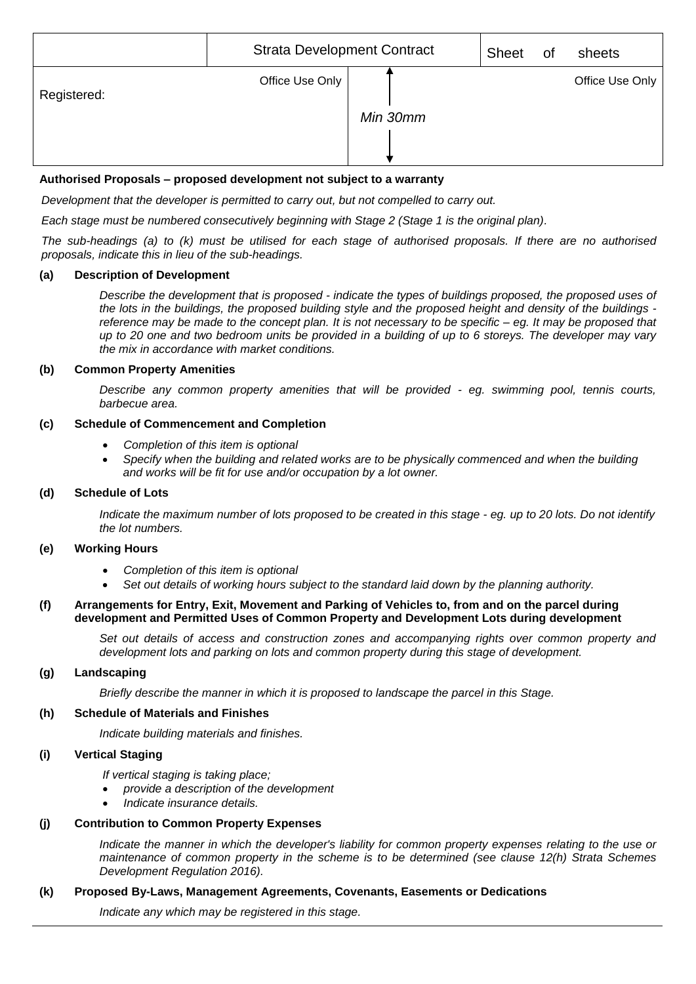|             | <b>Strata Development Contract</b> |          | <b>Sheet</b> | 0f | sheets          |
|-------------|------------------------------------|----------|--------------|----|-----------------|
| Registered: | Office Use Only                    | Min 30mm |              |    | Office Use Only |
|             |                                    |          |              |    |                 |

# **Authorised Proposals – proposed development not subject to a warranty**

*Development that the developer is permitted to carry out, but not compelled to carry out.*

*Each stage must be numbered consecutively beginning with Stage 2 (Stage 1 is the original plan).*

*The sub-headings (a) to (k) must be utilised for each stage of authorised proposals. If there are no authorised proposals, indicate this in lieu of the sub-headings.*

#### **(a) Description of Development**

*Describe the development that is proposed - indicate the types of buildings proposed, the proposed uses of the lots in the buildings, the proposed building style and the proposed height and density of the buildings reference may be made to the concept plan. It is not necessary to be specific – eg. It may be proposed that up to 20 one and two bedroom units be provided in a building of up to 6 storeys. The developer may vary the mix in accordance with market conditions.*

#### **(b) Common Property Amenities**

*Describe any common property amenities that will be provided - eg. swimming pool, tennis courts, barbecue area.*

# **(c) Schedule of Commencement and Completion**

- *Completion of this item is optional*
- *Specify when the building and related works are to be physically commenced and when the building and works will be fit for use and/or occupation by a lot owner.*

# **(d) Schedule of Lots**

*Indicate the maximum number of lots proposed to be created in this stage - eg. up to 20 lots. Do not identify the lot numbers.*

#### **(e) Working Hours**

- *Completion of this item is optional*
- *Set out details of working hours subject to the standard laid down by the planning authority.*

# **(f) Arrangements for Entry, Exit, Movement and Parking of Vehicles to, from and on the parcel during development and Permitted Uses of Common Property and Development Lots during development**

*Set out details of access and construction zones and accompanying rights over common property and development lots and parking on lots and common property during this stage of development.*

# **(g) Landscaping**

*Briefly describe the manner in which it is proposed to landscape the parcel in this Stage.*

# **(h) Schedule of Materials and Finishes**

*Indicate building materials and finishes.*

# **(i) Vertical Staging**

*If vertical staging is taking place;*

- *provide a description of the development*
- *Indicate insurance details.*

# **(j) Contribution to Common Property Expenses**

*Indicate the manner in which the developer's liability for common property expenses relating to the use or maintenance of common property in the scheme is to be determined (see clause 12(h) Strata Schemes Development Regulation 2016).*

# **(k) Proposed By-Laws, Management Agreements, Covenants, Easements or Dedications**

*Indicate any which may be registered in this stage.*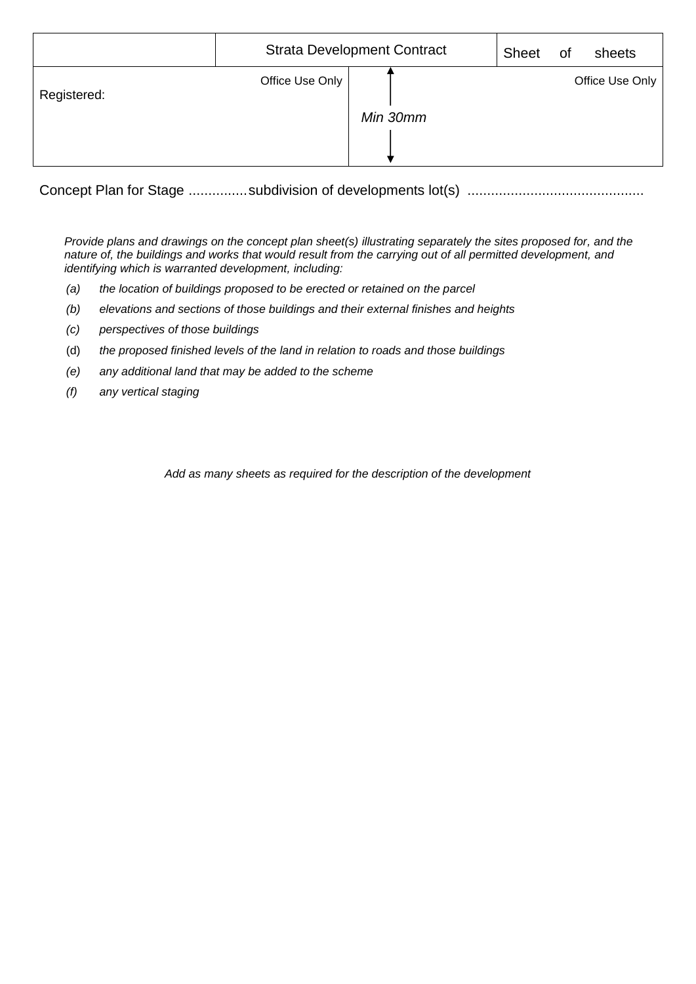|             | <b>Strata Development Contract</b> |          | <b>Sheet</b> | <b>of</b> | sheets          |
|-------------|------------------------------------|----------|--------------|-----------|-----------------|
| Registered: | Office Use Only                    | Min 30mm |              |           | Office Use Only |

Concept Plan for Stage ...............subdivision of developments lot(s) .............................................

*Provide plans and drawings on the concept plan sheet(s) illustrating separately the sites proposed for, and the nature of, the buildings and works that would result from the carrying out of all permitted development, and identifying which is warranted development, including:*

- *(a) the location of buildings proposed to be erected or retained on the parcel*
- *(b) elevations and sections of those buildings and their external finishes and heights*
- *(c) perspectives of those buildings*
- (d) *the proposed finished levels of the land in relation to roads and those buildings*
- *(e) any additional land that may be added to the scheme*
- *(f) any vertical staging*

*Add as many sheets as required for the description of the development*